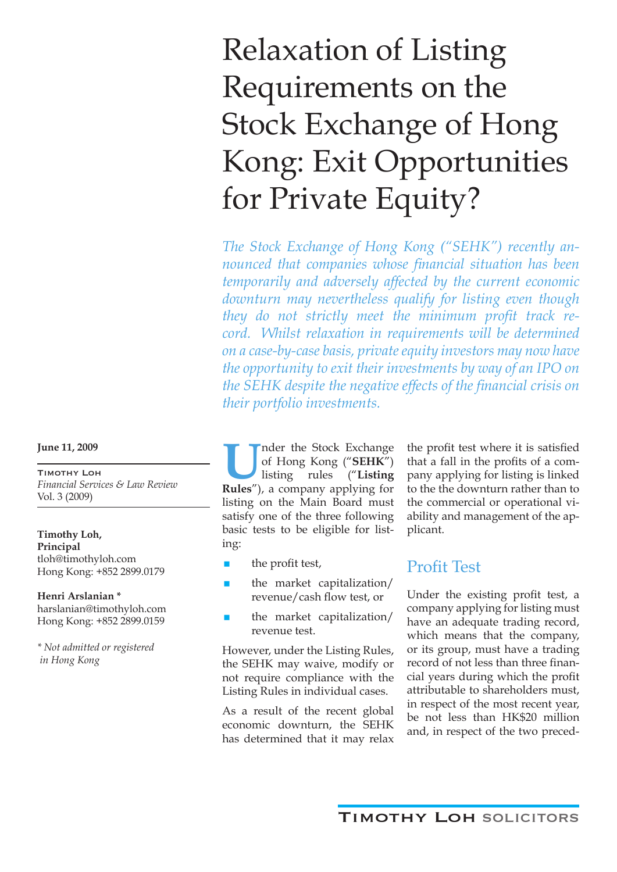# Relaxation of Listing Requirements on the Stock Exchange of Hong Kong: Exit Opportunities for Private Equity?

*The Stock Exchange of Hong Kong ("SEHK") recently announced that companies whose financial situation has been temporarily and adversely affected by the current economic downturn may nevertheless qualify for listing even though they do not strictly meet the minimum profit track record. Whilst relaxation in requirements will be determined on a case-by-case basis, private equity investors may now have the opportunity to exit their investments by way of an IPO on the SEHK despite the negative effects of the financial crisis on their portfolio investments.*

II nder the Stock Exchange<br>of Hong Kong ("**SEHK"**)<br>Rules") a company applying for of Hong Kong ("**SEHK**") listing rules ("**Listing Rules**"), a company applying for listing on the Main Board must satisfy one of the three following basic tests to be eligible for listing:

- $\blacksquare$  the profit test,
- $\blacksquare$  the market capitalization/ revenue/cash flow test, or
- the market capitalization/ revenue test.

However, under the Listing Rules, the SEHK may waive, modify or not require compliance with the Listing Rules in individual cases.

As a result of the recent global economic downturn, the SEHK has determined that it may relax

the profit test where it is satisfied that a fall in the profits of a company applying for listing is linked to the the downturn rather than to the commercial or operational viability and management of the applicant.

### Profit Test

Under the existing profit test, a company applying for listing must have an adequate trading record, which means that the company, or its group, must have a trading record of not less than three financial years during which the profit attributable to shareholders must, in respect of the most recent year, be not less than HK\$20 million and, in respect of the two preced-

**June 11, 2009**

Timothy Loh *Financial Services & Law Review*  Vol. 3 (2009)

**Timothy Loh, Principal** tloh@timothyloh.com Hong Kong: +852 2899.0179

**Henri Arslanian \*** harslanian@timothyloh.com Hong Kong: +852 2899.0159

*\* Not admitted or registered in Hong Kong*